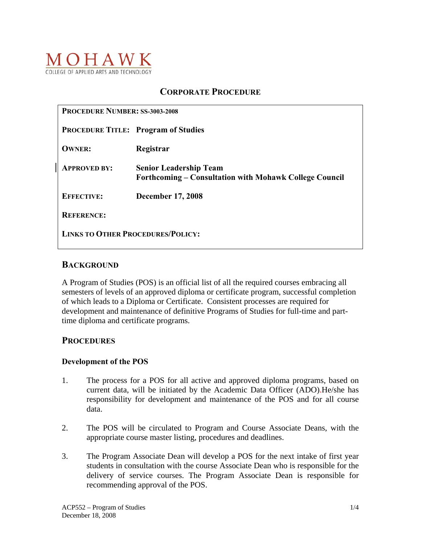

## **CORPORATE PROCEDURE**

| <b>PROCEDURE NUMBER: SS-3003-2008</b>    |                                                                                         |
|------------------------------------------|-----------------------------------------------------------------------------------------|
|                                          | <b>PROCEDURE TITLE: Program of Studies</b>                                              |
| <b>OWNER:</b>                            | Registrar                                                                               |
| <b>APPROVED BY:</b>                      | <b>Senior Leadership Team</b><br>Forthcoming – Consultation with Mohawk College Council |
| <b>EFFECTIVE:</b>                        | <b>December 17, 2008</b>                                                                |
| <b>REFERENCE:</b>                        |                                                                                         |
| <b>LINKS TO OTHER PROCEDURES/POLICY:</b> |                                                                                         |

### **BACKGROUND**

A Program of Studies (POS) is an official list of all the required courses embracing all semesters of levels of an approved diploma or certificate program, successful completion of which leads to a Diploma or Certificate. Consistent processes are required for development and maintenance of definitive Programs of Studies for full-time and parttime diploma and certificate programs.

## **PROCEDURES**

#### **Development of the POS**

- 1. The process for a POS for all active and approved diploma programs, based on current data, will be initiated by the Academic Data Officer (ADO).He/she has responsibility for development and maintenance of the POS and for all course data.
- 2. The POS will be circulated to Program and Course Associate Deans, with the appropriate course master listing, procedures and deadlines.
- 3. The Program Associate Dean will develop a POS for the next intake of first year students in consultation with the course Associate Dean who is responsible for the delivery of service courses. The Program Associate Dean is responsible for recommending approval of the POS.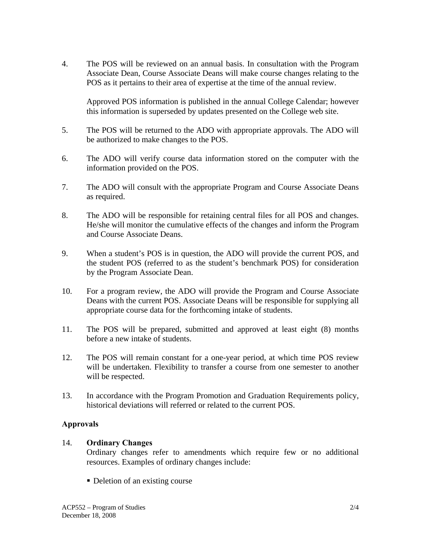4. The POS will be reviewed on an annual basis. In consultation with the Program Associate Dean, Course Associate Deans will make course changes relating to the POS as it pertains to their area of expertise at the time of the annual review.

 Approved POS information is published in the annual College Calendar; however this information is superseded by updates presented on the College web site.

- 5. The POS will be returned to the ADO with appropriate approvals. The ADO will be authorized to make changes to the POS.
- 6. The ADO will verify course data information stored on the computer with the information provided on the POS.
- 7. The ADO will consult with the appropriate Program and Course Associate Deans as required.
- 8. The ADO will be responsible for retaining central files for all POS and changes. He/she will monitor the cumulative effects of the changes and inform the Program and Course Associate Deans.
- 9. When a student's POS is in question, the ADO will provide the current POS, and the student POS (referred to as the student's benchmark POS) for consideration by the Program Associate Dean.
- 10. For a program review, the ADO will provide the Program and Course Associate Deans with the current POS. Associate Deans will be responsible for supplying all appropriate course data for the forthcoming intake of students.
- 11. The POS will be prepared, submitted and approved at least eight (8) months before a new intake of students.
- 12. The POS will remain constant for a one-year period, at which time POS review will be undertaken. Flexibility to transfer a course from one semester to another will be respected.
- 13. In accordance with the Program Promotion and Graduation Requirements policy, historical deviations will referred or related to the current POS.

## **Approvals**

#### 14. **Ordinary Changes**

Ordinary changes refer to amendments which require few or no additional resources. Examples of ordinary changes include:

• Deletion of an existing course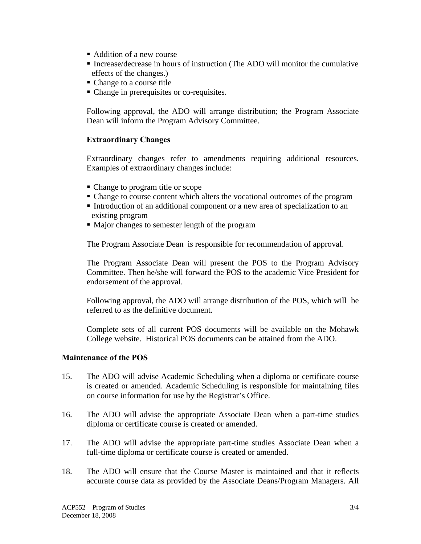- Addition of a new course
- Increase/decrease in hours of instruction (The ADO will monitor the cumulative effects of the changes.)
- Change to a course title
- Change in prerequisites or co-requisites.

 Following approval, the ADO will arrange distribution; the Program Associate Dean will inform the Program Advisory Committee.

### **Extraordinary Changes**

Extraordinary changes refer to amendments requiring additional resources. Examples of extraordinary changes include:

- Change to program title or scope
- Change to course content which alters the vocational outcomes of the program
- Introduction of an additional component or a new area of specialization to an existing program
- $\blacksquare$  Major changes to semester length of the program

The Program Associate Dean is responsible for recommendation of approval.

 The Program Associate Dean will present the POS to the Program Advisory Committee. Then he/she will forward the POS to the academic Vice President for endorsement of the approval.

 Following approval, the ADO will arrange distribution of the POS, which will be referred to as the definitive document.

 Complete sets of all current POS documents will be available on the Mohawk College website. Historical POS documents can be attained from the ADO.

#### **Maintenance of the POS**

- 15. The ADO will advise Academic Scheduling when a diploma or certificate course is created or amended. Academic Scheduling is responsible for maintaining files on course information for use by the Registrar's Office.
- 16. The ADO will advise the appropriate Associate Dean when a part-time studies diploma or certificate course is created or amended.
- 17. The ADO will advise the appropriate part-time studies Associate Dean when a full-time diploma or certificate course is created or amended.
- 18. The ADO will ensure that the Course Master is maintained and that it reflects accurate course data as provided by the Associate Deans/Program Managers. All